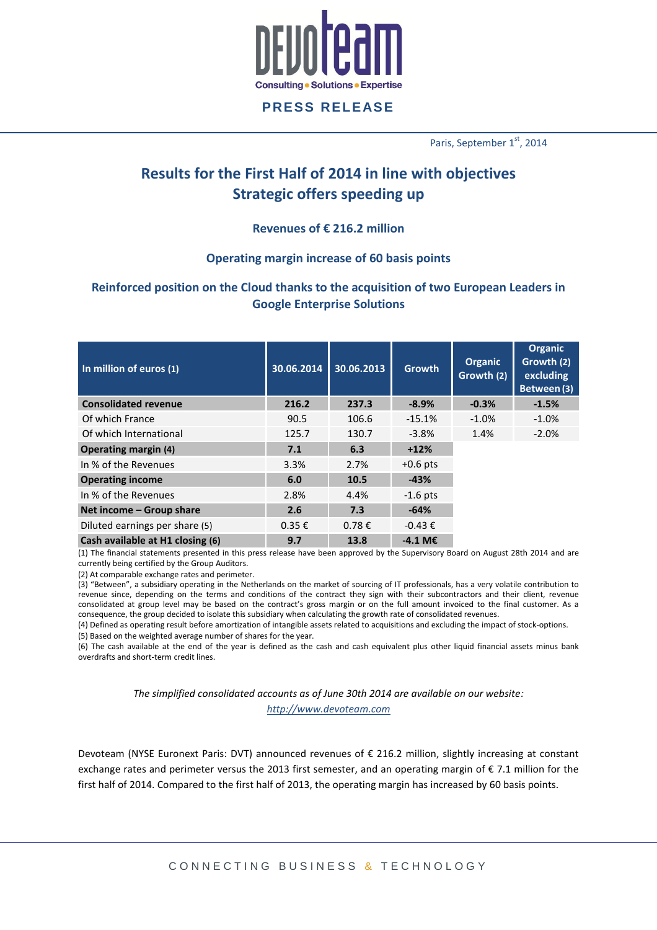

Paris, September 1<sup>st</sup>, 2014

# **Results for the First Half of 2014 in line with objectives Strategic offers speeding up**

## **Revenues of € 216.2 million**

#### **Operating margin increase of 60 basis points**

# **Reinforced position on the Cloud thanks to the acquisition of two European Leaders in Google Enterprise Solutions**

| In million of euros (1)          | 30.06.2014 | 30.06.2013      | <b>Growth</b>         | Organic<br>Growth (2) | Organic<br>Growth (2)<br>excluding<br>Between (3) |
|----------------------------------|------------|-----------------|-----------------------|-----------------------|---------------------------------------------------|
| <b>Consolidated revenue</b>      | 216.2      | 237.3           | $-8.9%$               | $-0.3%$               | $-1.5%$                                           |
| Of which France                  | 90.5       | 106.6           | $-15.1%$              | $-1.0%$               | $-1.0%$                                           |
| Of which International           | 125.7      | 130.7           | $-3.8%$               | 1.4%                  | $-2.0%$                                           |
| <b>Operating margin (4)</b>      | 7.1        | 6.3             | $+12%$                |                       |                                                   |
| In % of the Revenues             | 3.3%       | 2.7%            | $+0.6$ pts            |                       |                                                   |
| <b>Operating income</b>          | 6.0        | 10.5            | $-43%$                |                       |                                                   |
| In % of the Revenues             | 2.8%       | 4.4%            | $-1.6$ pts            |                       |                                                   |
| Net income - Group share         | 2.6        | 7.3             | $-64%$                |                       |                                                   |
| Diluted earnings per share (5)   | $0.35 \in$ | $0.78 \epsilon$ | $-0.43 \epsilon$      |                       |                                                   |
| Cash available at H1 closing (6) | 9.7        | 13.8            | $-4.1$ M <sub>€</sub> |                       |                                                   |

(1) The financial statements presented in this press release have been approved by the Supervisory Board on August 28th 2014 and are currently being certified by the Group Auditors.

(2) At comparable exchange rates and perimeter.

(3) "Between", a subsidiary operating in the Netherlands on the market of sourcing of IT professionals, has a very volatile contribution to revenue since, depending on the terms and conditions of the contract they sign with their subcontractors and their client, revenue consolidated at group level may be based on the contract's gross margin or on the full amount invoiced to the final customer. As a consequence, the group decided to isolate this subsidiary when calculating the growth rate of consolidated revenues.

(4) Defined as operating result before amortization of intangible assets related to acquisitions and excluding the impact of stock-options. (5) Based on the weighted average number of shares for the year.

(6) The cash available at the end of the year is defined as the cash and cash equivalent plus other liquid financial assets minus bank overdrafts and short-term credit lines.

> *The simplified consolidated accounts as of June 30th 2014 are available on our website: [http://www.devoteam.com](http://www.devoteam.com/)*

Devoteam (NYSE Euronext Paris: DVT) announced revenues of € 216.2 million, slightly increasing at constant exchange rates and perimeter versus the 2013 first semester, and an operating margin of € 7.1 million for the first half of 2014. Compared to the first half of 2013, the operating margin has increased by 60 basis points.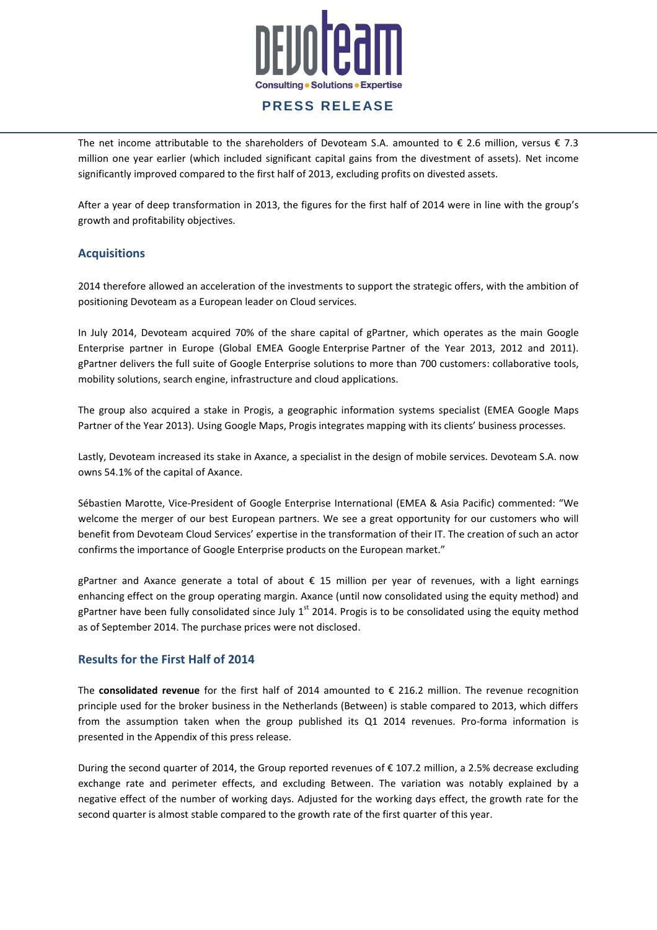

The net income attributable to the shareholders of Devoteam S.A. amounted to  $\epsilon$  2.6 million, versus  $\epsilon$  7.3 million one year earlier (which included significant capital gains from the divestment of assets). Net income significantly improved compared to the first half of 2013, excluding profits on divested assets.

After a year of deep transformation in 2013, the figures for the first half of 2014 were in line with the group's growth and profitability objectives.

#### **Acquisitions**

2014 therefore allowed an acceleration of the investments to support the strategic offers, with the ambition of positioning Devoteam as a European leader on Cloud services.

In July 2014, Devoteam acquired 70% of the share capital of gPartner, which operates as the main Google Enterprise partner in Europe (Global EMEA Google Enterprise Partner of the Year 2013, 2012 and 2011). gPartner delivers the full suite of Google Enterprise solutions to more than 700 customers: collaborative tools, mobility solutions, search engine, infrastructure and cloud applications.

The group also acquired a stake in Progis, a geographic information systems specialist (EMEA Google Maps Partner of the Year 2013). Using Google Maps, Progis integrates mapping with its clients' business processes.

Lastly, Devoteam increased its stake in Axance, a specialist in the design of mobile services. Devoteam S.A. now owns 54.1% of the capital of Axance.

Sébastien Marotte, Vice-President of Google Enterprise International (EMEA & Asia Pacific) commented: "We welcome the merger of our best European partners. We see a great opportunity for our customers who will benefit from Devoteam Cloud Services' expertise in the transformation of their IT. The creation of such an actor confirms the importance of Google Enterprise products on the European market."

gPartner and Axance generate a total of about € 15 million per year of revenues, with a light earnings enhancing effect on the group operating margin. Axance (until now consolidated using the equity method) and gPartner have been fully consolidated since July  $1<sup>st</sup>$  2014. Progis is to be consolidated using the equity method as of September 2014. The purchase prices were not disclosed.

#### **Results for the First Half of 2014**

The **consolidated revenue** for the first half of 2014 amounted to € 216.2 million. The revenue recognition principle used for the broker business in the Netherlands (Between) is stable compared to 2013, which differs from the assumption taken when the group published its Q1 2014 revenues. Pro-forma information is presented in the Appendix of this press release.

During the second quarter of 2014, the Group reported revenues of € 107.2 million, a 2.5% decrease excluding exchange rate and perimeter effects, and excluding Between. The variation was notably explained by a negative effect of the number of working days. Adjusted for the working days effect, the growth rate for the second quarter is almost stable compared to the growth rate of the first quarter of this year.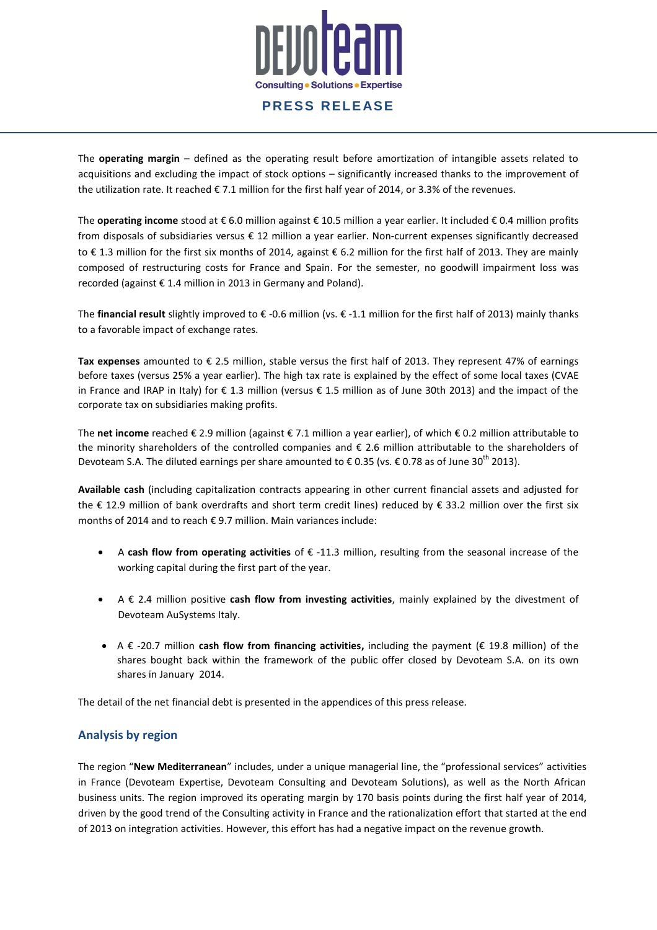

The **operating margin** – defined as the operating result before amortization of intangible assets related to acquisitions and excluding the impact of stock options – significantly increased thanks to the improvement of the utilization rate. It reached € 7.1 million for the first half year of 2014, or 3.3% of the revenues.

The **operating income** stood at € 6.0 million against € 10.5 million a year earlier. It included € 0.4 million profits from disposals of subsidiaries versus € 12 million a year earlier. Non-current expenses significantly decreased to € 1.3 million for the first six months of 2014, against € 6.2 million for the first half of 2013. They are mainly composed of restructuring costs for France and Spain. For the semester, no goodwill impairment loss was recorded (against € 1.4 million in 2013 in Germany and Poland).

The **financial result** slightly improved to € -0.6 million (vs. € -1.1 million for the first half of 2013) mainly thanks to a favorable impact of exchange rates.

**Tax expenses** amounted to € 2.5 million, stable versus the first half of 2013. They represent 47% of earnings before taxes (versus 25% a year earlier). The high tax rate is explained by the effect of some local taxes (CVAE in France and IRAP in Italy) for € 1.3 million (versus € 1.5 million as of June 30th 2013) and the impact of the corporate tax on subsidiaries making profits.

The **net income** reached € 2.9 million (against € 7.1 million a year earlier), of which € 0.2 million attributable to the minority shareholders of the controlled companies and € 2.6 million attributable to the shareholders of Devoteam S.A. The diluted earnings per share amounted to € 0.35 (vs. € 0.78 as of June 30<sup>th</sup> 2013).

**Available cash** (including capitalization contracts appearing in other current financial assets and adjusted for the € 12.9 million of bank overdrafts and short term credit lines) reduced by € 33.2 million over the first six months of 2014 and to reach € 9.7 million. Main variances include:

- A **cash flow from operating activities** of € -11.3 million, resulting from the seasonal increase of the working capital during the first part of the year.
- A € 2.4 million positive **cash flow from investing activities**, mainly explained by the divestment of Devoteam AuSystems Italy.
- A € -20.7 million **cash flow from financing activities,** including the payment (€ 19.8 million) of the shares bought back within the framework of the public offer closed by Devoteam S.A. on its own shares in January 2014.

The detail of the net financial debt is presented in the appendices of this press release.

#### **Analysis by region**

The region "**New Mediterranean**" includes, under a unique managerial line, the "professional services" activities in France (Devoteam Expertise, Devoteam Consulting and Devoteam Solutions), as well as the North African business units. The region improved its operating margin by 170 basis points during the first half year of 2014, driven by the good trend of the Consulting activity in France and the rationalization effort that started at the end of 2013 on integration activities. However, this effort has had a negative impact on the revenue growth.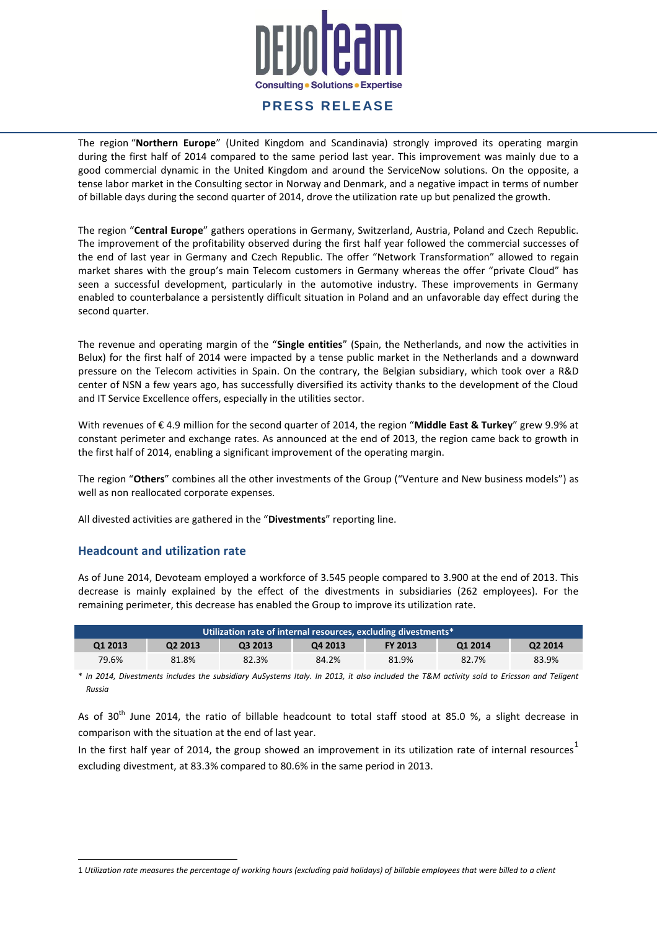# **Consulting . Solutions . Expertise**

# **PRESS RELEASE**

The region "**Northern Europe**" (United Kingdom and Scandinavia) strongly improved its operating margin during the first half of 2014 compared to the same period last year. This improvement was mainly due to a good commercial dynamic in the United Kingdom and around the ServiceNow solutions. On the opposite, a tense labor market in the Consulting sector in Norway and Denmark, and a negative impact in terms of number of billable days during the second quarter of 2014, drove the utilization rate up but penalized the growth.

The region "**Central Europe**" gathers operations in Germany, Switzerland, Austria, Poland and Czech Republic. The improvement of the profitability observed during the first half year followed the commercial successes of the end of last year in Germany and Czech Republic. The offer "Network Transformation" allowed to regain market shares with the group's main Telecom customers in Germany whereas the offer "private Cloud" has seen a successful development, particularly in the automotive industry. These improvements in Germany enabled to counterbalance a persistently difficult situation in Poland and an unfavorable day effect during the second quarter.

The revenue and operating margin of the "**Single entities**" (Spain, the Netherlands, and now the activities in Belux) for the first half of 2014 were impacted by a tense public market in the Netherlands and a downward pressure on the Telecom activities in Spain. On the contrary, the Belgian subsidiary, which took over a R&D center of NSN a few years ago, has successfully diversified its activity thanks to the development of the Cloud and IT Service Excellence offers, especially in the utilities sector.

With revenues of € 4.9 million for the second quarter of 2014, the region "**Middle East & Turkey**" grew 9.9% at constant perimeter and exchange rates. As announced at the end of 2013, the region came back to growth in the first half of 2014, enabling a significant improvement of the operating margin.

The region "**Others**" combines all the other investments of the Group ("Venture and New business models") as well as non reallocated corporate expenses.

All divested activities are gathered in the "**Divestments**" reporting line.

#### **Headcount and utilization rate**

 $\overline{\phantom{a}}$ 

As of June 2014, Devoteam employed a workforce of 3.545 people compared to 3.900 at the end of 2013. This decrease is mainly explained by the effect of the divestments in subsidiaries (262 employees). For the remaining perimeter, this decrease has enabled the Group to improve its utilization rate.

| Utilization rate of internal resources, excluding divestments* |         |         |         |                |         |         |
|----------------------------------------------------------------|---------|---------|---------|----------------|---------|---------|
| Q1 2013                                                        | Q2 2013 | Q3 2013 | Q4 2013 | <b>FY 2013</b> | Q1 2014 | Q2 2014 |
| 79.6%                                                          | 81.8%   | 82.3%   | 84.2%   | 81.9%          | 82.7%   | 83.9%   |

\* *In 2014, Divestments includes the subsidiary AuSystems Italy. In 2013, it also included the T&M activity sold to Ericsson and Teligent Russia*

As of  $30<sup>th</sup>$  June 2014, the ratio of billable headcount to total staff stood at 85.0 %, a slight decrease in comparison with the situation at the end of last year.

In the first half year of 2014, the group showed an improvement in its utilization rate of internal resources<sup>1</sup> excluding divestment, at 83.3% compared to 80.6% in the same period in 2013.

<sup>1</sup> *Utilization rate measures the percentage of working hours (excluding paid holidays) of billable employees that were billed to a client*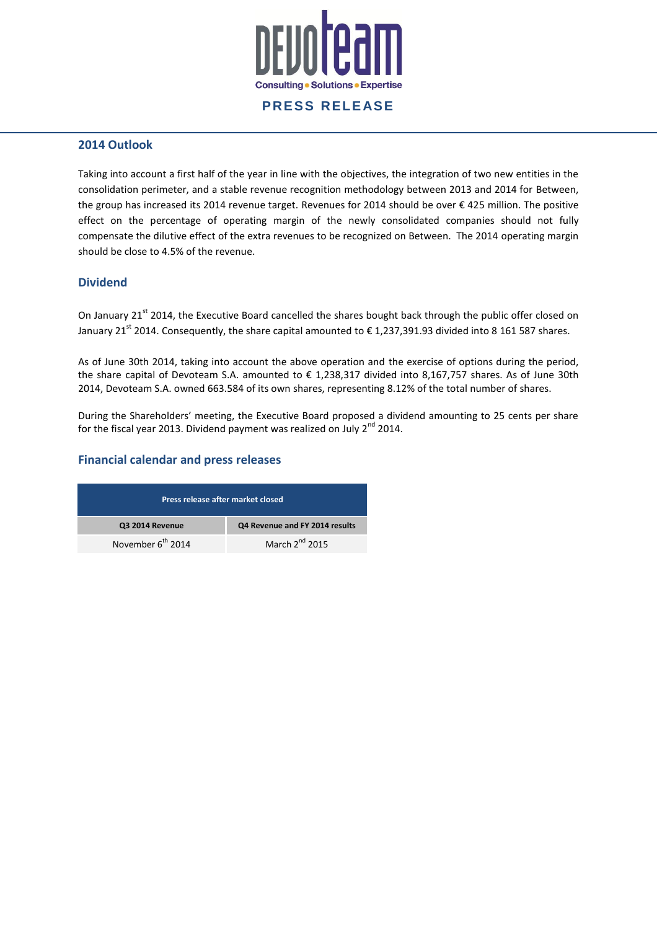

#### **2014 Outlook**

Taking into account a first half of the year in line with the objectives, the integration of two new entities in the consolidation perimeter, and a stable revenue recognition methodology between 2013 and 2014 for Between, the group has increased its 2014 revenue target. Revenues for 2014 should be over € 425 million. The positive effect on the percentage of operating margin of the newly consolidated companies should not fully compensate the dilutive effect of the extra revenues to be recognized on Between. The 2014 operating margin should be close to 4.5% of the revenue.

#### **Dividend**

On January 21<sup>st</sup> 2014, the Executive Board cancelled the shares bought back through the public offer closed on January 21<sup>st</sup> 2014. Consequently, the share capital amounted to  $\epsilon$  1,237,391.93 divided into 8 161 587 shares.

As of June 30th 2014, taking into account the above operation and the exercise of options during the period, the share capital of Devoteam S.A. amounted to € 1,238,317 divided into 8,167,757 shares. As of June 30th 2014, Devoteam S.A. owned 663.584 of its own shares, representing 8.12% of the total number of shares.

During the Shareholders' meeting, the Executive Board proposed a dividend amounting to 25 cents per share for the fiscal year 2013. Dividend payment was realized on July  $2^{nd}$  2014.

#### **Financial calendar and press releases**

| Press release after market closed |                                |  |  |
|-----------------------------------|--------------------------------|--|--|
| Q3 2014 Revenue                   | Q4 Revenue and FY 2014 results |  |  |
| November 6 <sup>th</sup> 2014     | March $2^{nd}$ 2015            |  |  |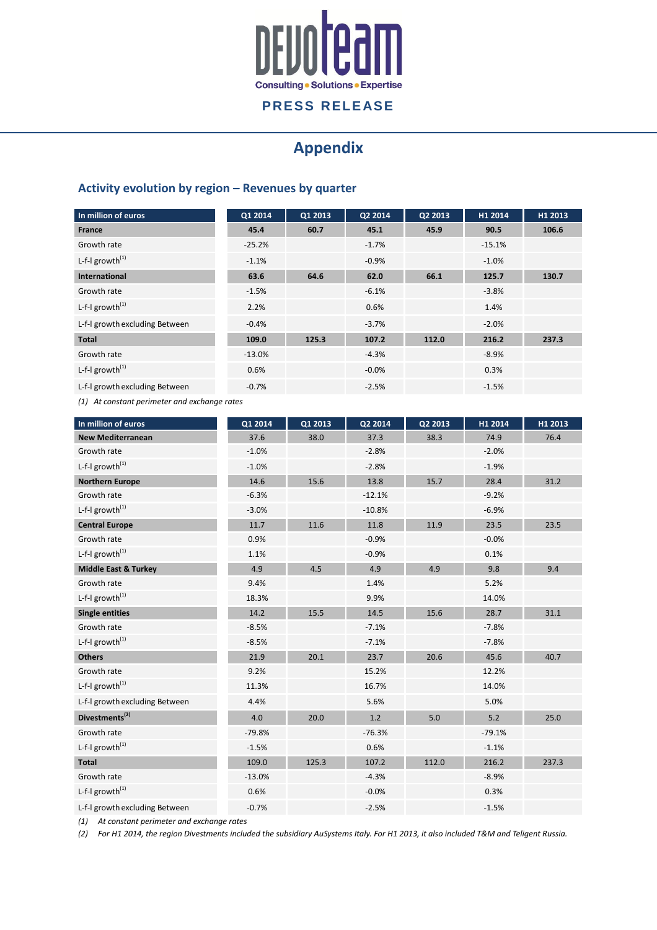

# **Appendix**

# **Activity evolution by region – Revenues by quarter**

| In million of euros            | Q1 2014  | Q1 2013 | Q2 2014 | Q2 2013 | H1 2014  | H1 2013 |
|--------------------------------|----------|---------|---------|---------|----------|---------|
| <b>France</b>                  | 45.4     | 60.7    | 45.1    | 45.9    | 90.5     | 106.6   |
| Growth rate                    | $-25.2%$ |         | $-1.7%$ |         | $-15.1%$ |         |
| L-f-I growth $^{(1)}$          | $-1.1%$  |         | $-0.9%$ |         | $-1.0%$  |         |
| International                  | 63.6     | 64.6    | 62.0    | 66.1    | 125.7    | 130.7   |
| Growth rate                    | $-1.5%$  |         | $-6.1%$ |         | $-3.8%$  |         |
| L-f-I growth $^{(1)}$          | 2.2%     |         | 0.6%    |         | 1.4%     |         |
| L-f-I growth excluding Between | $-0.4%$  |         | $-3.7%$ |         | $-2.0%$  |         |
| <b>Total</b>                   | 109.0    | 125.3   | 107.2   | 112.0   | 216.2    | 237.3   |
| Growth rate                    | $-13.0%$ |         | $-4.3%$ |         | $-8.9%$  |         |
| L-f-l growth $^{(1)}$          | 0.6%     |         | $-0.0%$ |         | 0.3%     |         |
| L-f-I growth excluding Between | $-0.7%$  |         | $-2.5%$ |         | $-1.5%$  |         |

*(1) At constant perimeter and exchange rates*

| In million of euros                         | Q1 2014  | Q1 2013 | Q2 2014  | Q2 2013 | H1 2014  | H1 2013 |
|---------------------------------------------|----------|---------|----------|---------|----------|---------|
| <b>New Mediterranean</b>                    | 37.6     | 38.0    | 37.3     | 38.3    | 74.9     | 76.4    |
| Growth rate                                 | $-1.0%$  |         | $-2.8%$  |         | $-2.0%$  |         |
| L-f- $l$ growth <sup>(1)</sup>              | $-1.0%$  |         | $-2.8%$  |         | $-1.9%$  |         |
| <b>Northern Europe</b>                      | 14.6     | 15.6    | 13.8     | 15.7    | 28.4     | 31.2    |
| Growth rate                                 | $-6.3%$  |         | $-12.1%$ |         | $-9.2%$  |         |
| L-f- $l$ growth <sup><math>(1)</math></sup> | $-3.0%$  |         | $-10.8%$ |         | $-6.9%$  |         |
| <b>Central Europe</b>                       | 11.7     | 11.6    | 11.8     | 11.9    | 23.5     | 23.5    |
| Growth rate                                 | 0.9%     |         | $-0.9%$  |         | $-0.0%$  |         |
| L-f-I growth $^{(1)}$                       | 1.1%     |         | $-0.9%$  |         | 0.1%     |         |
| <b>Middle East &amp; Turkey</b>             | 4.9      | 4.5     | 4.9      | 4.9     | 9.8      | 9.4     |
| Growth rate                                 | 9.4%     |         | 1.4%     |         | 5.2%     |         |
| L-f- $I$ growth <sup>(1)</sup>              | 18.3%    |         | 9.9%     |         | 14.0%    |         |
| <b>Single entities</b>                      | 14.2     | 15.5    | 14.5     | 15.6    | 28.7     | 31.1    |
| Growth rate                                 | $-8.5%$  |         | $-7.1%$  |         | $-7.8%$  |         |
| L-f- $l$ growth <sup>(1)</sup>              | $-8.5%$  |         | $-7.1%$  |         | $-7.8%$  |         |
| <b>Others</b>                               | 21.9     | 20.1    | 23.7     | 20.6    | 45.6     | 40.7    |
| Growth rate                                 | 9.2%     |         | 15.2%    |         | 12.2%    |         |
| L-f- $I$ growth <sup>(1)</sup>              | 11.3%    |         | 16.7%    |         | 14.0%    |         |
| L-f-I growth excluding Between              | 4.4%     |         | 5.6%     |         | 5.0%     |         |
| Divestments <sup>(2)</sup>                  | 4.0      | 20.0    | 1.2      | $5.0$   | 5.2      | 25.0    |
| Growth rate                                 | $-79.8%$ |         | $-76.3%$ |         | $-79.1%$ |         |
| L-f-I growth <sup>(1)</sup>                 | $-1.5%$  |         | 0.6%     |         | $-1.1%$  |         |
| <b>Total</b>                                | 109.0    | 125.3   | 107.2    | 112.0   | 216.2    | 237.3   |
| Growth rate                                 | $-13.0%$ |         | $-4.3%$  |         | $-8.9%$  |         |
| L-f-I growth $^{(1)}$                       | 0.6%     |         | $-0.0%$  |         | 0.3%     |         |
| L-f-I growth excluding Between              | $-0.7%$  |         | $-2.5%$  |         | $-1.5%$  |         |

*(1) At constant perimeter and exchange rates*

*(2) For H1 2014, the region Divestments included the subsidiary AuSystems Italy. For H1 2013, it also included T&M and Teligent Russia.*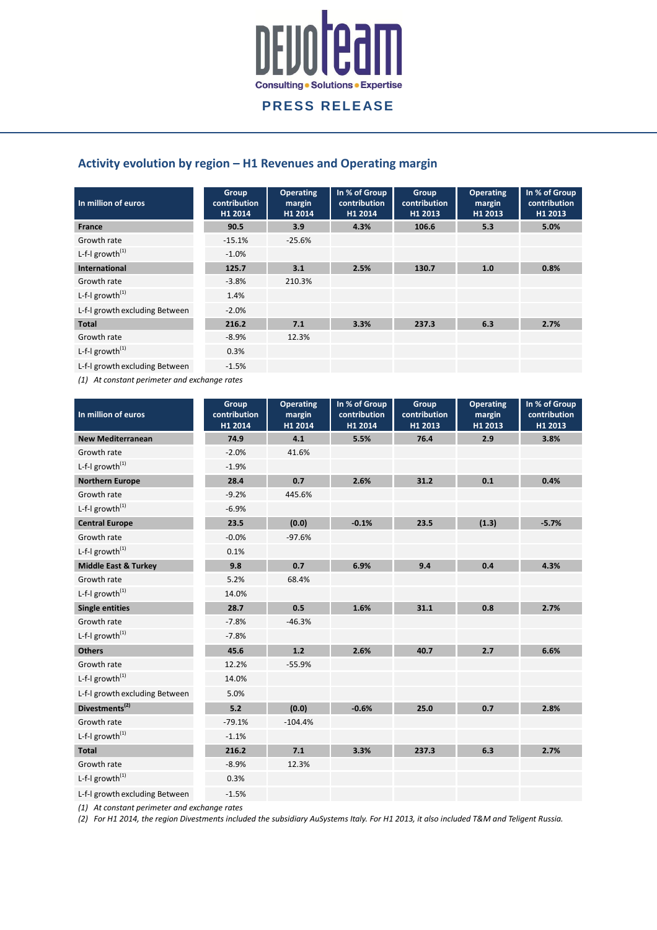

## **Activity evolution by region – H1 Revenues and Operating margin**

| In million of euros            | Group<br>contribution<br>H1 2014 | <b>Operating</b><br>margin<br>H1 2014 | In % of Group<br>contribution<br>H1 2014 | Group<br>contribution<br>H1 2013 | <b>Operating</b><br>margin<br>H1 2013 | In % of Group<br>contribution<br>H1 2013 |
|--------------------------------|----------------------------------|---------------------------------------|------------------------------------------|----------------------------------|---------------------------------------|------------------------------------------|
| <b>France</b>                  | 90.5                             | 3.9                                   | 4.3%                                     | 106.6                            | 5.3                                   | 5.0%                                     |
| Growth rate                    | $-15.1%$                         | $-25.6%$                              |                                          |                                  |                                       |                                          |
| L-f-I growth $^{(1)}$          | $-1.0%$                          |                                       |                                          |                                  |                                       |                                          |
| <b>International</b>           | 125.7                            | 3.1                                   | 2.5%                                     | 130.7                            | 1.0                                   | 0.8%                                     |
| Growth rate                    | $-3.8%$                          | 210.3%                                |                                          |                                  |                                       |                                          |
| L-f-I growth $^{(1)}$          | 1.4%                             |                                       |                                          |                                  |                                       |                                          |
| L-f-I growth excluding Between | $-2.0%$                          |                                       |                                          |                                  |                                       |                                          |
| <b>Total</b>                   | 216.2                            | 7.1                                   | 3.3%                                     | 237.3                            | 6.3                                   | 2.7%                                     |
| Growth rate                    | $-8.9%$                          | 12.3%                                 |                                          |                                  |                                       |                                          |
| L-f-I growth $^{(1)}$          | 0.3%                             |                                       |                                          |                                  |                                       |                                          |
| L-f-I growth excluding Between | $-1.5%$                          |                                       |                                          |                                  |                                       |                                          |

*(1) At constant perimeter and exchange rates*

| In million of euros             | Group<br>contribution<br>H1 2014 | <b>Operating</b><br>margin<br>H1 2014 | In % of Group<br>contribution<br>H1 2014 | Group<br>contribution<br>H1 2013 | <b>Operating</b><br>margin<br>H1 2013 | In % of Group<br>contribution<br>H1 2013 |
|---------------------------------|----------------------------------|---------------------------------------|------------------------------------------|----------------------------------|---------------------------------------|------------------------------------------|
| <b>New Mediterranean</b>        | 74.9                             | 4.1                                   | 5.5%                                     | 76.4                             | 2.9                                   | 3.8%                                     |
| Growth rate                     | $-2.0%$                          | 41.6%                                 |                                          |                                  |                                       |                                          |
| L-f-I growth $^{(1)}$           | $-1.9%$                          |                                       |                                          |                                  |                                       |                                          |
| <b>Northern Europe</b>          | 28.4                             | 0.7                                   | 2.6%                                     | 31.2                             | 0.1                                   | 0.4%                                     |
| Growth rate                     | $-9.2%$                          | 445.6%                                |                                          |                                  |                                       |                                          |
| L-f-I growth $^{(1)}$           | $-6.9%$                          |                                       |                                          |                                  |                                       |                                          |
| <b>Central Europe</b>           | 23.5                             | (0.0)                                 | $-0.1%$                                  | 23.5                             | (1.3)                                 | $-5.7%$                                  |
| Growth rate                     | $-0.0%$                          | $-97.6%$                              |                                          |                                  |                                       |                                          |
| L-f-I growth $^{(1)}$           | 0.1%                             |                                       |                                          |                                  |                                       |                                          |
| <b>Middle East &amp; Turkey</b> | 9.8                              | 0.7                                   | 6.9%                                     | 9.4                              | 0.4                                   | 4.3%                                     |
| Growth rate                     | 5.2%                             | 68.4%                                 |                                          |                                  |                                       |                                          |
| L-f-I growth $^{(1)}$           | 14.0%                            |                                       |                                          |                                  |                                       |                                          |
| <b>Single entities</b>          | 28.7                             | 0.5                                   | 1.6%                                     | 31.1                             | 0.8                                   | 2.7%                                     |
| Growth rate                     | $-7.8%$                          | $-46.3%$                              |                                          |                                  |                                       |                                          |
| L-f-I growth $^{(1)}$           | $-7.8%$                          |                                       |                                          |                                  |                                       |                                          |
| <b>Others</b>                   | 45.6                             | 1.2                                   | 2.6%                                     | 40.7                             | 2.7                                   | 6.6%                                     |
| Growth rate                     | 12.2%                            | $-55.9%$                              |                                          |                                  |                                       |                                          |
| L-f-I growth $^{(1)}$           | 14.0%                            |                                       |                                          |                                  |                                       |                                          |
| L-f-I growth excluding Between  | 5.0%                             |                                       |                                          |                                  |                                       |                                          |
| Divestments <sup>(2)</sup>      | 5.2                              | (0.0)                                 | $-0.6%$                                  | 25.0                             | 0.7                                   | 2.8%                                     |
| Growth rate                     | $-79.1%$                         | $-104.4%$                             |                                          |                                  |                                       |                                          |
| L-f-I growth $^{(1)}$           | $-1.1%$                          |                                       |                                          |                                  |                                       |                                          |
| <b>Total</b>                    | 216.2                            | 7.1                                   | 3.3%                                     | 237.3                            | 6.3                                   | 2.7%                                     |
| Growth rate                     | $-8.9%$                          | 12.3%                                 |                                          |                                  |                                       |                                          |
| L-f-I growth $^{(1)}$           | 0.3%                             |                                       |                                          |                                  |                                       |                                          |
| L-f-I growth excluding Between  | $-1.5%$                          |                                       |                                          |                                  |                                       |                                          |

*(1) At constant perimeter and exchange rates*

*(2) For H1 2014, the region Divestments included the subsidiary AuSystems Italy. For H1 2013, it also included T&M and Teligent Russia.*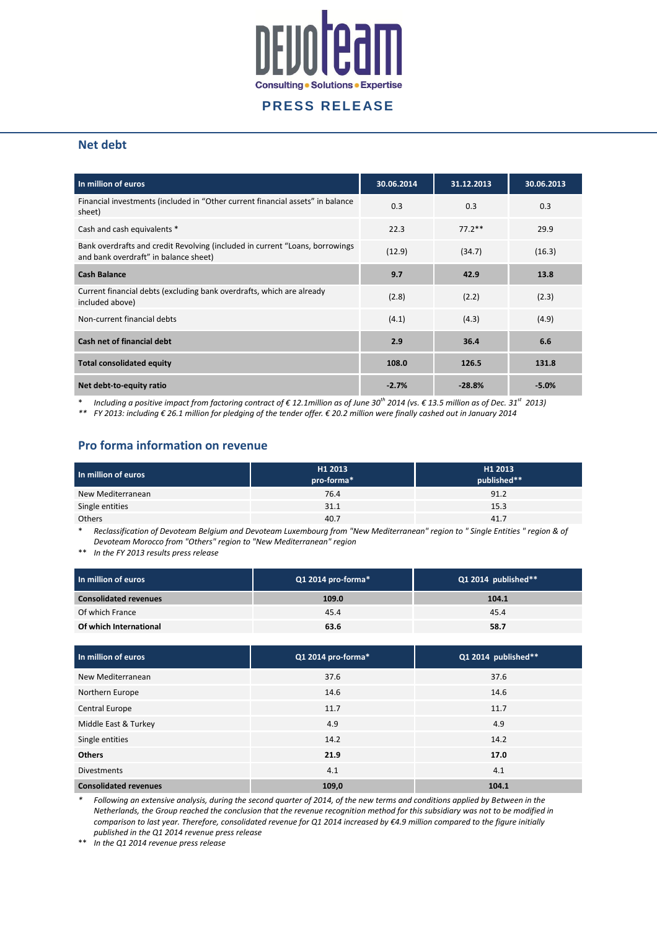

#### **Net debt**

| In million of euros                                                                                                   | 30.06.2014 | 31.12.2013 | 30.06.2013 |
|-----------------------------------------------------------------------------------------------------------------------|------------|------------|------------|
| Financial investments (included in "Other current financial assets" in balance<br>sheet)                              | 0.3        | 0.3        | 0.3        |
| Cash and cash equivalents *                                                                                           | 22.3       | $77.2**$   | 29.9       |
| Bank overdrafts and credit Revolving (included in current "Loans, borrowings<br>and bank overdraft" in balance sheet) | (12.9)     | (34.7)     | (16.3)     |
| <b>Cash Balance</b>                                                                                                   | 9.7        | 42.9       | 13.8       |
| Current financial debts (excluding bank overdrafts, which are already<br>included above)                              | (2.8)      | (2.2)      | (2.3)      |
| Non-current financial debts                                                                                           | (4.1)      | (4.3)      | (4.9)      |
| Cash net of financial debt                                                                                            | 2.9        | 36.4       | 6.6        |
| <b>Total consolidated equity</b>                                                                                      | 108.0      | 126.5      | 131.8      |
| Net debt-to-equity ratio                                                                                              | $-2.7%$    | $-28.8%$   | $-5.0%$    |

\* *Including a positive impact from factoring contract of € 12.1million as of June 30th 2014 (vs. € 13.5 million as of Dec. 31st 2013)*

*\*\* FY 2013: including € 26.1 million for pledging of the tender offer. € 20.2 million were finally cashed out in January 2014*

#### **Pro forma information on revenue**

| In million of euros | H1 2013<br>pro-forma* | H <sub>1</sub> 2013<br>published** |
|---------------------|-----------------------|------------------------------------|
| New Mediterranean   | 76.4                  | 91.2                               |
| Single entities     | 31.1                  | 15.3                               |
| <b>Others</b>       | 40.7                  | 41.7                               |

\* *Reclassification of Devoteam Belgium and Devoteam Luxembourg from "New Mediterranean" region to " Single Entities " region & of Devoteam Morocco from "Others" region to "New Mediterranean" region*

\*\* *In the FY 2013 results press release*

| In million of euros          | $Q1$ 2014 pro-forma $*$ | Q1 2014 published** |
|------------------------------|-------------------------|---------------------|
| <b>Consolidated revenues</b> | 109.0                   | 104.1               |
| Of which France              | 45.4                    | 45.4                |
| Of which International       | 63.6                    | 58.7                |

| In million of euros          | Q1 2014 pro-forma* | Q1 2014 published** |
|------------------------------|--------------------|---------------------|
| New Mediterranean            | 37.6               | 37.6                |
| Northern Europe              | 14.6               | 14.6                |
| Central Europe               | 11.7               | 11.7                |
| Middle East & Turkey         | 4.9                | 4.9                 |
| Single entities              | 14.2               | 14.2                |
| <b>Others</b>                | 21.9               | 17.0                |
| <b>Divestments</b>           | 4.1                | 4.1                 |
| <b>Consolidated revenues</b> | 109,0              | 104.1               |

*\* Following an extensive analysis, during the second quarter of 2014, of the new terms and conditions applied by Between in the Netherlands, the Group reached the conclusion that the revenue recognition method for this subsidiary was not to be modified in comparison to last year. Therefore, consolidated revenue for Q1 2014 increased by €4.9 million compared to the figure initially published in the Q1 2014 revenue press release*

\*\* *In the Q1 2014 revenue press release*